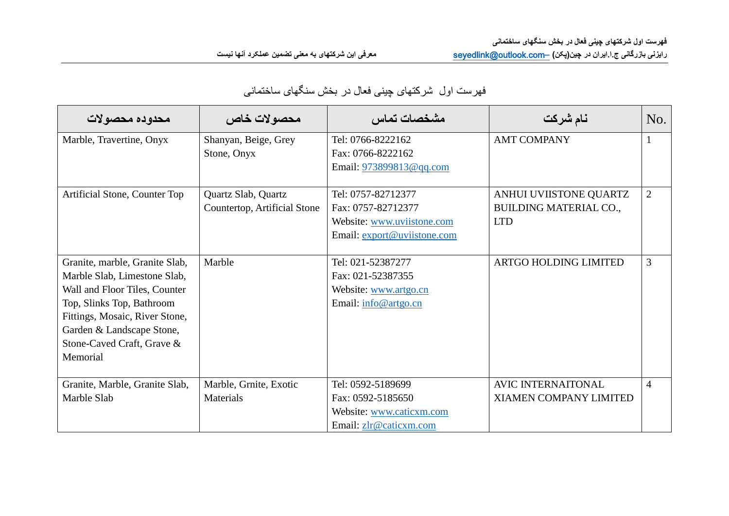| محدوده محصولات                                                                                                                                                                                                                        | محصولات خاص                                         | مشخصات تماس                                                                                           | نام شركت                                                              | No.            |
|---------------------------------------------------------------------------------------------------------------------------------------------------------------------------------------------------------------------------------------|-----------------------------------------------------|-------------------------------------------------------------------------------------------------------|-----------------------------------------------------------------------|----------------|
| Marble, Travertine, Onyx                                                                                                                                                                                                              | Shanyan, Beige, Grey<br>Stone, Onyx                 | Tel: 0766-8222162<br>Fax: 0766-8222162<br>Email: 973899813@qq.com                                     | <b>AMT COMPANY</b>                                                    |                |
| Artificial Stone, Counter Top                                                                                                                                                                                                         | Quartz Slab, Quartz<br>Countertop, Artificial Stone | Tel: 0757-82712377<br>Fax: 0757-82712377<br>Website: www.uviistone.com<br>Email: export@uviistone.com | ANHUI UVIISTONE QUARTZ<br><b>BUILDING MATERIAL CO.,</b><br><b>LTD</b> | $\overline{2}$ |
| Granite, marble, Granite Slab,<br>Marble Slab, Limestone Slab,<br>Wall and Floor Tiles, Counter<br>Top, Slinks Top, Bathroom<br>Fittings, Mosaic, River Stone,<br>Garden & Landscape Stone,<br>Stone-Caved Craft, Grave &<br>Memorial | Marble                                              | Tel: 021-52387277<br>Fax: 021-52387355<br>Website: www.artgo.cn<br>Email: info@artgo.cn               | <b>ARTGO HOLDING LIMITED</b>                                          | 3              |
| Granite, Marble, Granite Slab,<br>Marble Slab                                                                                                                                                                                         | Marble, Grnite, Exotic<br>Materials                 | Tel: 0592-5189699<br>Fax: 0592-5185650<br>Website: www.caticxm.com<br>Email: zlr@caticxm.com          | AVIC INTERNAITONAL<br><b>XIAMEN COMPANY LIMITED</b>                   | $\overline{4}$ |

## فهرست اول شرکتهای چینی فعال در بخش سنگهای ساختمانی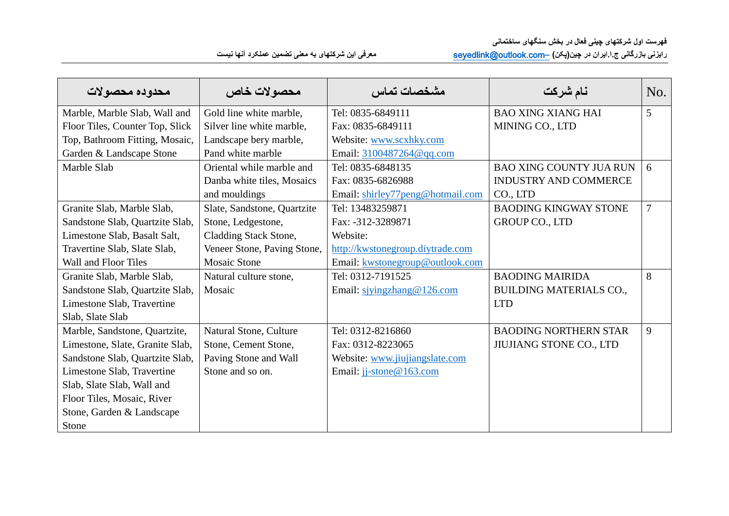| محدوده محصولات                  | محصولات خاص                 | مشخصات تماس                      | نام شركت                       | No. |
|---------------------------------|-----------------------------|----------------------------------|--------------------------------|-----|
| Marble, Marble Slab, Wall and   | Gold line white marble,     | Tel: 0835-6849111                | <b>BAO XING XIANG HAI</b>      | 5   |
| Floor Tiles, Counter Top, Slick | Silver line white marble,   | Fax: 0835-6849111                | MINING CO., LTD                |     |
| Top, Bathroom Fitting, Mosaic,  | Landscape bery marble,      | Website: www.scxhky.com          |                                |     |
| Garden & Landscape Stone        | Pand white marble           | Email: 3100487264@qq.com         |                                |     |
| Marble Slab                     | Oriental while marble and   | Tel: 0835-6848135                | <b>BAO XING COUNTY JUA RUN</b> | 6   |
|                                 | Danba white tiles, Mosaics  | Fax: 0835-6826988                | <b>INDUSTRY AND COMMERCE</b>   |     |
|                                 | and mouldings               | Email: shirley77peng@hotmail.com | CO., LTD                       |     |
| Granite Slab, Marble Slab,      | Slate, Sandstone, Quartzite | Tel: 13483259871                 | <b>BAODING KINGWAY STONE</b>   | 7   |
| Sandstone Slab, Quartzite Slab, | Stone, Ledgestone,          | Fax: -312-3289871                | GROUP CO., LTD                 |     |
| Limestone Slab, Basalt Salt,    | Cladding Stack Stone,       | Website:                         |                                |     |
| Travertine Slab, Slate Slab,    | Veneer Stone, Paving Stone, | http://kwstonegroup.diytrade.com |                                |     |
| Wall and Floor Tiles            | <b>Mosaic Stone</b>         | Email: kwstonegroup@outlook.com  |                                |     |
| Granite Slab, Marble Slab,      | Natural culture stone,      | Tel: 0312-7191525                | <b>BAODING MAIRIDA</b>         | 8   |
| Sandstone Slab, Quartzite Slab, | Mosaic                      | Email: sjyingzhang@126.com       | <b>BUILDING MATERIALS CO.,</b> |     |
| Limestone Slab, Travertine      |                             |                                  | <b>LTD</b>                     |     |
| Slab, Slate Slab                |                             |                                  |                                |     |
| Marble, Sandstone, Quartzite,   | Natural Stone, Culture      | Tel: 0312-8216860                | <b>BAODING NORTHERN STAR</b>   | 9   |
| Limestone, Slate, Granite Slab, | Stone, Cement Stone,        | Fax: 0312-8223065                | <b>JIUJIANG STONE CO., LTD</b> |     |
| Sandstone Slab, Quartzite Slab, | Paving Stone and Wall       | Website: www.jiujiangslate.com   |                                |     |
| Limestone Slab, Travertine      | Stone and so on.            | Email: jj-stone@163.com          |                                |     |
| Slab, Slate Slab, Wall and      |                             |                                  |                                |     |
| Floor Tiles, Mosaic, River      |                             |                                  |                                |     |
| Stone, Garden & Landscape       |                             |                                  |                                |     |
| Stone                           |                             |                                  |                                |     |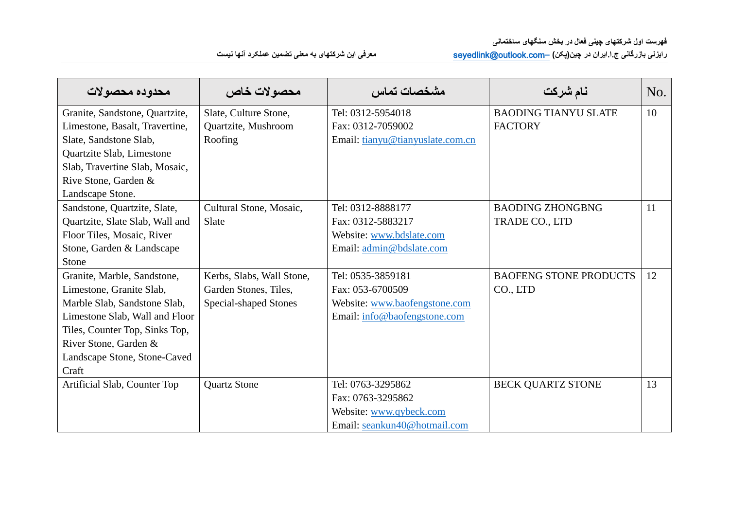| محدوده محصولات                  | محصولات خاص               | مشخصات تماس                      | نام شركت                      | No. |
|---------------------------------|---------------------------|----------------------------------|-------------------------------|-----|
| Granite, Sandstone, Quartzite,  | Slate, Culture Stone,     | Tel: 0312-5954018                | <b>BAODING TIANYU SLATE</b>   | 10  |
| Limestone, Basalt, Travertine,  | Quartzite, Mushroom       | Fax: 0312-7059002                | <b>FACTORY</b>                |     |
| Slate, Sandstone Slab,          | Roofing                   | Email: tianyu@tianyuslate.com.cn |                               |     |
| Quartzite Slab, Limestone       |                           |                                  |                               |     |
| Slab, Travertine Slab, Mosaic,  |                           |                                  |                               |     |
| Rive Stone, Garden &            |                           |                                  |                               |     |
| Landscape Stone.                |                           |                                  |                               |     |
| Sandstone, Quartzite, Slate,    | Cultural Stone, Mosaic,   | Tel: 0312-8888177                | <b>BAODING ZHONGBNG</b>       | 11  |
| Quartzite, Slate Slab, Wall and | Slate                     | Fax: 0312-5883217                | TRADE CO., LTD                |     |
| Floor Tiles, Mosaic, River      |                           | Website: www.bdslate.com         |                               |     |
| Stone, Garden & Landscape       |                           | Email: admin@bdslate.com         |                               |     |
| Stone                           |                           |                                  |                               |     |
| Granite, Marble, Sandstone,     | Kerbs, Slabs, Wall Stone, | Tel: 0535-3859181                | <b>BAOFENG STONE PRODUCTS</b> | 12  |
| Limestone, Granite Slab,        | Garden Stones, Tiles,     | Fax: 053-6700509                 | CO., LTD                      |     |
| Marble Slab, Sandstone Slab,    | Special-shaped Stones     | Website: www.baofengstone.com    |                               |     |
| Limestone Slab, Wall and Floor  |                           | Email: info@baofengstone.com     |                               |     |
| Tiles, Counter Top, Sinks Top,  |                           |                                  |                               |     |
| River Stone, Garden &           |                           |                                  |                               |     |
| Landscape Stone, Stone-Caved    |                           |                                  |                               |     |
| Craft                           |                           |                                  |                               |     |
| Artificial Slab, Counter Top    | <b>Quartz Stone</b>       | Tel: 0763-3295862                | <b>BECK QUARTZ STONE</b>      | 13  |
|                                 |                           | Fax: 0763-3295862                |                               |     |
|                                 |                           | Website: www.qybeck.com          |                               |     |
|                                 |                           | Email: seankun40@hotmail.com     |                               |     |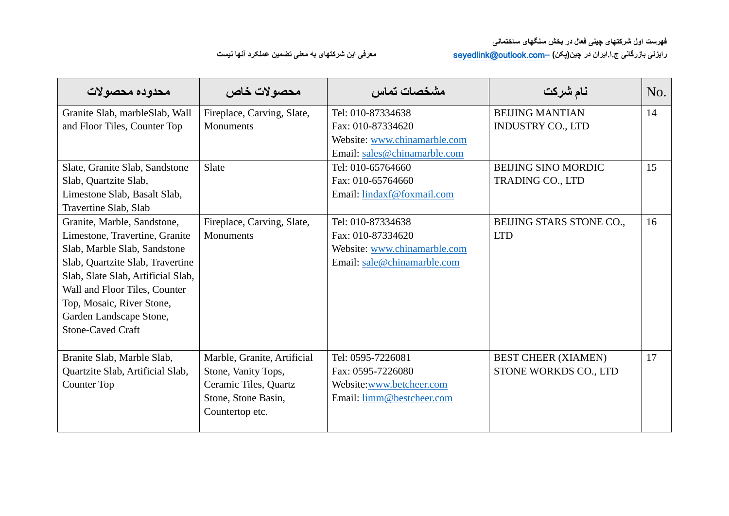| محدوده محصولات                     | محصولات خاص                 | مشخصات تماس                  | نام شركت                   | No. |
|------------------------------------|-----------------------------|------------------------------|----------------------------|-----|
| Granite Slab, marble Slab, Wall    | Fireplace, Carving, Slate,  | Tel: 010-87334638            | <b>BEIJING MANTIAN</b>     | 14  |
| and Floor Tiles, Counter Top       | <b>Monuments</b>            | Fax: 010-87334620            | <b>INDUSTRY CO., LTD</b>   |     |
|                                    |                             | Website: www.chinamarble.com |                            |     |
|                                    |                             | Email: sales@chinamarble.com |                            |     |
| Slate, Granite Slab, Sandstone     | Slate                       | Tel: 010-65764660            | <b>BEIJING SINO MORDIC</b> | 15  |
| Slab, Quartzite Slab,              |                             | Fax: 010-65764660            | <b>TRADING CO., LTD</b>    |     |
| Limestone Slab, Basalt Slab,       |                             | Email: lindaxf@foxmail.com   |                            |     |
| Travertine Slab, Slab              |                             |                              |                            |     |
| Granite, Marble, Sandstone,        | Fireplace, Carving, Slate,  | Tel: 010-87334638            | BEIJING STARS STONE CO.,   | 16  |
| Limestone, Travertine, Granite     | <b>Monuments</b>            | Fax: 010-87334620            | <b>LTD</b>                 |     |
| Slab, Marble Slab, Sandstone       |                             | Website: www.chinamarble.com |                            |     |
| Slab, Quartzite Slab, Travertine   |                             | Email: sale@chinamarble.com  |                            |     |
| Slab, Slate Slab, Artificial Slab, |                             |                              |                            |     |
| Wall and Floor Tiles, Counter      |                             |                              |                            |     |
| Top, Mosaic, River Stone,          |                             |                              |                            |     |
| Garden Landscape Stone,            |                             |                              |                            |     |
| <b>Stone-Caved Craft</b>           |                             |                              |                            |     |
|                                    |                             |                              |                            |     |
| Branite Slab, Marble Slab,         | Marble, Granite, Artificial | Tel: 0595-7226081            | <b>BEST CHEER (XIAMEN)</b> | 17  |
| Quartzite Slab, Artificial Slab,   | Stone, Vanity Tops,         | Fax: 0595-7226080            | STONE WORKDS CO., LTD      |     |
| <b>Counter Top</b>                 | Ceramic Tiles, Quartz       | Website:www.betcheer.com     |                            |     |
|                                    | Stone, Stone Basin,         | Email: limm@bestcheer.com    |                            |     |
|                                    | Countertop etc.             |                              |                            |     |
|                                    |                             |                              |                            |     |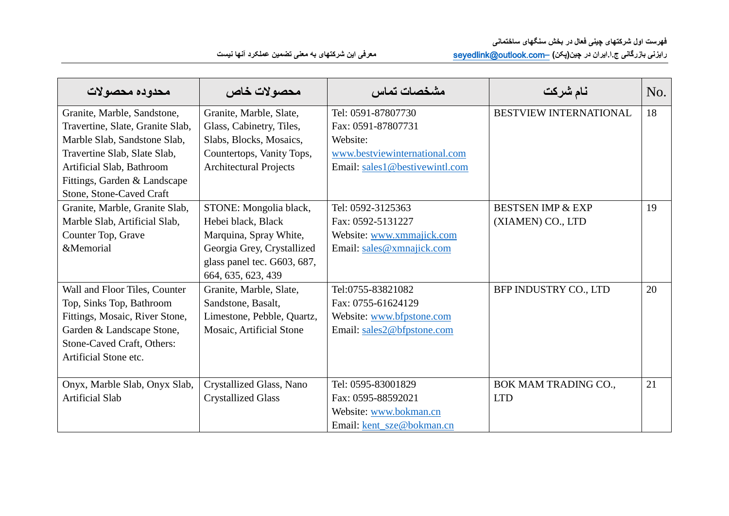| محدوده محصولات                   | محصولات خاص                   | مشخصات تماس                    | نام شركت                      | No. |
|----------------------------------|-------------------------------|--------------------------------|-------------------------------|-----|
| Granite, Marble, Sandstone,      | Granite, Marble, Slate,       | Tel: 0591-87807730             | <b>BESTVIEW INTERNATIONAL</b> | 18  |
| Travertine, Slate, Granite Slab, | Glass, Cabinetry, Tiles,      | Fax: 0591-87807731             |                               |     |
| Marble Slab, Sandstone Slab,     | Slabs, Blocks, Mosaics,       | Website:                       |                               |     |
| Travertine Slab, Slate Slab,     | Countertops, Vanity Tops,     | www.bestviewinternational.com  |                               |     |
| Artificial Slab, Bathroom        | <b>Architectural Projects</b> | Email: sales1@bestivewintl.com |                               |     |
| Fittings, Garden & Landscape     |                               |                                |                               |     |
| Stone, Stone-Caved Craft         |                               |                                |                               |     |
| Granite, Marble, Granite Slab,   | STONE: Mongolia black,        | Tel: 0592-3125363              | <b>BESTSEN IMP &amp; EXP</b>  | 19  |
| Marble Slab, Artificial Slab,    | Hebei black, Black            | Fax: 0592-5131227              | (XIAMEN) CO., LTD             |     |
| Counter Top, Grave               | Marquina, Spray White,        | Website: www.xmmajick.com      |                               |     |
| &Memorial                        | Georgia Grey, Crystallized    | Email: sales@xmnajick.com      |                               |     |
|                                  | glass panel tec. G603, 687,   |                                |                               |     |
|                                  | 664, 635, 623, 439            |                                |                               |     |
| Wall and Floor Tiles, Counter    | Granite, Marble, Slate,       | Tel:0755-83821082              | BFP INDUSTRY CO., LTD         | 20  |
| Top, Sinks Top, Bathroom         | Sandstone, Basalt,            | Fax: 0755-61624129             |                               |     |
| Fittings, Mosaic, River Stone,   | Limestone, Pebble, Quartz,    | Website: www.bfpstone.com      |                               |     |
| Garden & Landscape Stone,        | Mosaic, Artificial Stone      | Email: sales2@bfpstone.com     |                               |     |
| Stone-Caved Craft, Others:       |                               |                                |                               |     |
| Artificial Stone etc.            |                               |                                |                               |     |
|                                  |                               |                                |                               |     |
| Onyx, Marble Slab, Onyx Slab,    | Crystallized Glass, Nano      | Tel: 0595-83001829             | BOK MAM TRADING CO.,          | 21  |
| <b>Artificial Slab</b>           | <b>Crystallized Glass</b>     | Fax: 0595-88592021             | <b>LTD</b>                    |     |
|                                  |                               | Website: www.bokman.cn         |                               |     |
|                                  |                               | Email: kent_sze@bokman.cn      |                               |     |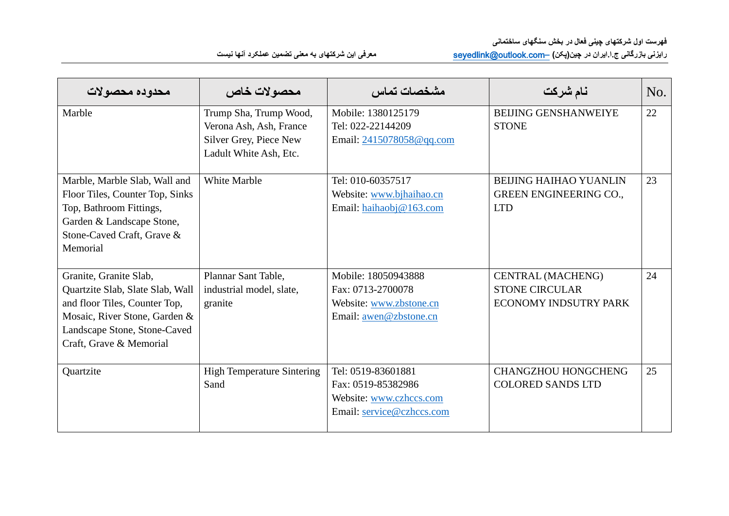| محدوده محصولات                                                                                                                                                                          | محصولات خاص                                                                                           | مشخصات تماس                                                                                      | نام شركت                                                                     | No. |
|-----------------------------------------------------------------------------------------------------------------------------------------------------------------------------------------|-------------------------------------------------------------------------------------------------------|--------------------------------------------------------------------------------------------------|------------------------------------------------------------------------------|-----|
| Marble                                                                                                                                                                                  | Trump Sha, Trump Wood,<br>Verona Ash, Ash, France<br>Silver Grey, Piece New<br>Ladult White Ash, Etc. | Mobile: 1380125179<br>Tel: 022-22144209<br>Email: 2415078058@qq.com                              | <b>BEIJING GENSHANWEIYE</b><br><b>STONE</b>                                  | 22  |
| Marble, Marble Slab, Wall and<br>Floor Tiles, Counter Top, Sinks<br>Top, Bathroom Fittings,<br>Garden & Landscape Stone,<br>Stone-Caved Craft, Grave &<br>Memorial                      | <b>White Marble</b>                                                                                   | Tel: 010-60357517<br>Website: www.bjhaihao.cn<br>Email: haihaobj@163.com                         | <b>BEIJING HAIHAO YUANLIN</b><br><b>GREEN ENGINEERING CO.,</b><br><b>LTD</b> | 23  |
| Granite, Granite Slab,<br>Quartzite Slab, Slate Slab, Wall<br>and floor Tiles, Counter Top,<br>Mosaic, River Stone, Garden &<br>Landscape Stone, Stone-Caved<br>Craft, Grave & Memorial | Plannar Sant Table,<br>industrial model, slate,<br>granite                                            | Mobile: 18050943888<br>Fax: 0713-2700078<br>Website: www.zbstone.cn<br>Email: awen@zbstone.cn    | CENTRAL (MACHENG)<br><b>STONE CIRCULAR</b><br><b>ECONOMY INDSUTRY PARK</b>   | 24  |
| Quartzite                                                                                                                                                                               | <b>High Temperature Sintering</b><br>Sand                                                             | Tel: 0519-83601881<br>Fax: 0519-85382986<br>Website: www.czhccs.com<br>Email: service@czhccs.com | <b>CHANGZHOU HONGCHENG</b><br><b>COLORED SANDS LTD</b>                       | 25  |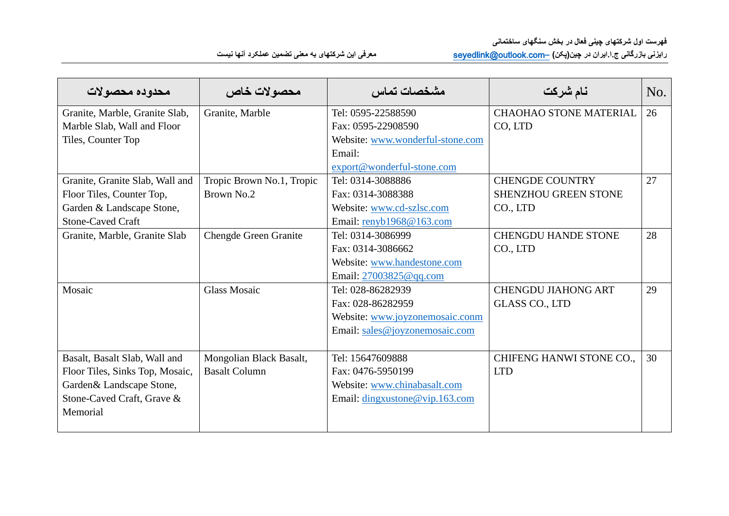| محدوده محصولات                  | محصولات خاص                  | مشخصات تماس                      | نام شركت                        | No. |
|---------------------------------|------------------------------|----------------------------------|---------------------------------|-----|
| Granite, Marble, Granite Slab,  | Granite, Marble              | Tel: 0595-22588590               | <b>CHAOHAO STONE MATERIAL</b>   | 26  |
| Marble Slab, Wall and Floor     |                              | Fax: 0595-22908590               | CO, LTD                         |     |
| Tiles, Counter Top              |                              | Website: www.wonderful-stone.com |                                 |     |
|                                 |                              | Email:                           |                                 |     |
|                                 |                              | export@wonderful-stone.com       |                                 |     |
| Granite, Granite Slab, Wall and | Tropic Brown No.1, Tropic    | Tel: 0314-3088886                | <b>CHENGDE COUNTRY</b>          | 27  |
| Floor Tiles, Counter Top,       | Brown No.2                   | Fax: 0314-3088388                | <b>SHENZHOU GREEN STONE</b>     |     |
| Garden & Landscape Stone,       |                              | Website: www.cd-szlsc.com        | CO., LTD                        |     |
| <b>Stone-Caved Craft</b>        |                              | Email: $renyb1968@163.com$       |                                 |     |
| Granite, Marble, Granite Slab   | <b>Chengde Green Granite</b> | Tel: 0314-3086999                | <b>CHENGDU HANDE STONE</b>      | 28  |
|                                 |                              | Fax: 0314-3086662                | CO., LTD                        |     |
|                                 |                              | Website: www.handestone.com      |                                 |     |
|                                 |                              | Email: 27003825@qq.com           |                                 |     |
| Mosaic                          | <b>Glass Mosaic</b>          | Tel: 028-86282939                | <b>CHENGDU JIAHONG ART</b>      | 29  |
|                                 |                              | Fax: 028-86282959                | <b>GLASS CO., LTD</b>           |     |
|                                 |                              | Website: www.joyzonemosaic.conm  |                                 |     |
|                                 |                              | Email: sales@joyzonemosaic.com   |                                 |     |
|                                 |                              |                                  |                                 |     |
| Basalt, Basalt Slab, Wall and   | Mongolian Black Basalt,      | Tel: 15647609888                 | <b>CHIFENG HANWI STONE CO.,</b> | 30  |
| Floor Tiles, Sinks Top, Mosaic, | <b>Basalt Column</b>         | Fax: 0476-5950199                | <b>LTD</b>                      |     |
| Garden & Landscape Stone,       |                              | Website: www.chinabasalt.com     |                                 |     |
| Stone-Caved Craft, Grave &      |                              | Email: dingxustone@vip.163.com   |                                 |     |
| Memorial                        |                              |                                  |                                 |     |
|                                 |                              |                                  |                                 |     |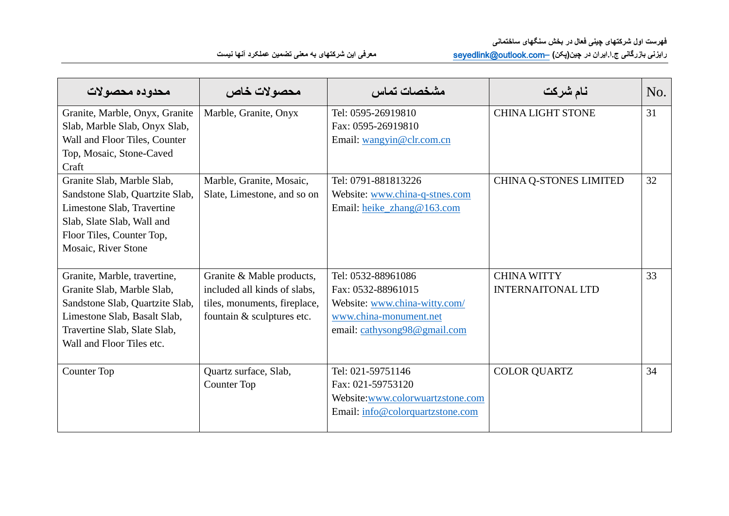| محدوده محصولات                                                                                                                                                                                                                                                                                                         | محصولات خاص                                                                                                             | ىشخصات تماس                                                                                                                                                  | نام شركت                                                  | No.      |
|------------------------------------------------------------------------------------------------------------------------------------------------------------------------------------------------------------------------------------------------------------------------------------------------------------------------|-------------------------------------------------------------------------------------------------------------------------|--------------------------------------------------------------------------------------------------------------------------------------------------------------|-----------------------------------------------------------|----------|
| Granite, Marble, Onyx, Granite<br>Slab, Marble Slab, Onyx Slab,<br>Wall and Floor Tiles, Counter<br>Top, Mosaic, Stone-Caved<br>Craft<br>Granite Slab, Marble Slab,<br>Sandstone Slab, Quartzite Slab,<br>Limestone Slab, Travertine<br>Slab, Slate Slab, Wall and<br>Floor Tiles, Counter Top,<br>Mosaic, River Stone | Marble, Granite, Onyx<br>Marble, Granite, Mosaic,<br>Slate, Limestone, and so on                                        | Tel: 0595-26919810<br>Fax: 0595-26919810<br>Email: wangyin@clr.com.cn<br>Tel: 0791-881813226<br>Website: www.china-q-stnes.com<br>Email: heike_zhang@163.com | <b>CHINA LIGHT STONE</b><br><b>CHINA Q-STONES LIMITED</b> | 31<br>32 |
| Granite, Marble, travertine,<br>Granite Slab, Marble Slab,<br>Sandstone Slab, Quartzite Slab,<br>Limestone Slab, Basalt Slab,<br>Travertine Slab, Slate Slab,<br>Wall and Floor Tiles etc.                                                                                                                             | Granite & Mable products,<br>included all kinds of slabs,<br>tiles, monuments, fireplace,<br>fountain & sculptures etc. | Tel: 0532-88961086<br>Fax: 0532-88961015<br>Website: www.china-witty.com/<br>www.china-monument.net<br>email: cathysong98@gmail.com                          | <b>CHINA WITTY</b><br><b>INTERNAITONAL LTD</b>            | 33       |
| <b>Counter Top</b>                                                                                                                                                                                                                                                                                                     | Quartz surface, Slab,<br>Counter Top                                                                                    | Tel: 021-59751146<br>Fax: 021-59753120<br>Website:www.colorwuartzstone.com<br>Email: info@colorquartzstone.com                                               | <b>COLOR QUARTZ</b>                                       | 34       |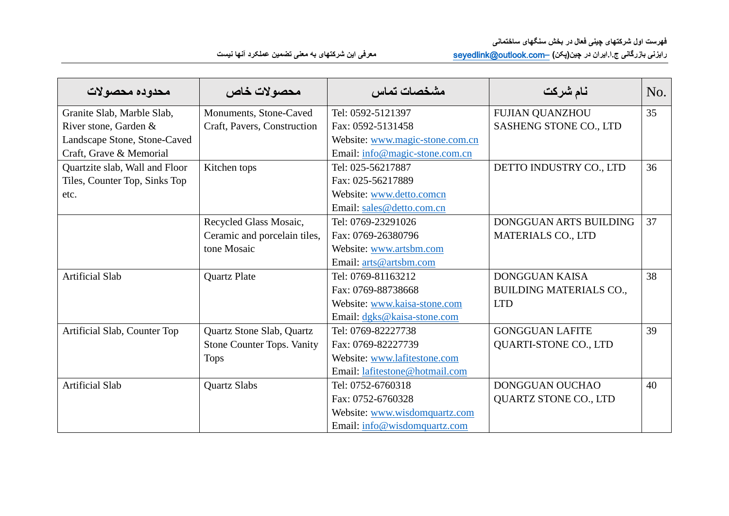| محدوده محصولات                 | محصولات خاص                       | مشخصات تماس                     | نام شركت                       | No. |
|--------------------------------|-----------------------------------|---------------------------------|--------------------------------|-----|
| Granite Slab, Marble Slab,     | Monuments, Stone-Caved            | Tel: 0592-5121397               | <b>FUJIAN QUANZHOU</b>         | 35  |
| River stone, Garden &          | Craft, Pavers, Construction       | Fax: 0592-5131458               | SASHENG STONE CO., LTD         |     |
| Landscape Stone, Stone-Caved   |                                   | Website: www.magic-stone.com.cn |                                |     |
| Craft, Grave & Memorial        |                                   | Email: info@magic-stone.com.cn  |                                |     |
| Quartzite slab, Wall and Floor | Kitchen tops                      | Tel: 025-56217887               | DETTO INDUSTRY CO., LTD        | 36  |
| Tiles, Counter Top, Sinks Top  |                                   | Fax: 025-56217889               |                                |     |
| etc.                           |                                   | Website: www.detto.comcn        |                                |     |
|                                |                                   | Email: sales@detto.com.cn       |                                |     |
|                                | Recycled Glass Mosaic,            | Tel: 0769-23291026              | DONGGUAN ARTS BUILDING         | 37  |
|                                | Ceramic and porcelain tiles,      | Fax: 0769-26380796              | <b>MATERIALS CO., LTD</b>      |     |
|                                | tone Mosaic                       | Website: www.artsbm.com         |                                |     |
|                                |                                   | Email: arts@artsbm.com          |                                |     |
| <b>Artificial Slab</b>         | <b>Quartz Plate</b>               | Tel: 0769-81163212              | <b>DONGGUAN KAISA</b>          | 38  |
|                                |                                   | Fax: 0769-88738668              | <b>BUILDING MATERIALS CO.,</b> |     |
|                                |                                   | Website: www.kaisa-stone.com    | <b>LTD</b>                     |     |
|                                |                                   | Email: dgks@kaisa-stone.com     |                                |     |
| Artificial Slab, Counter Top   | Quartz Stone Slab, Quartz         | Tel: 0769-82227738              | <b>GONGGUAN LAFITE</b>         | 39  |
|                                | <b>Stone Counter Tops. Vanity</b> | Fax: 0769-82227739              | <b>QUARTI-STONE CO., LTD</b>   |     |
|                                | <b>Tops</b>                       | Website: www.lafitestone.com    |                                |     |
|                                |                                   | Email: lafitestone@hotmail.com  |                                |     |
| <b>Artificial Slab</b>         | <b>Quartz Slabs</b>               | Tel: 0752-6760318               | DONGGUAN OUCHAO                | 40  |
|                                |                                   | Fax: 0752-6760328               | <b>QUARTZ STONE CO., LTD</b>   |     |
|                                |                                   | Website: www.wisdomquartz.com   |                                |     |
|                                |                                   | Email: info@wisdomquartz.com    |                                |     |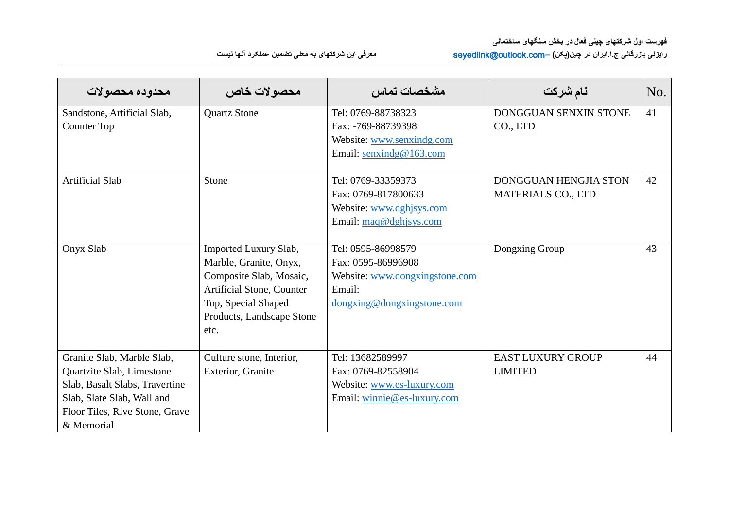| محدوده محصولات                 | محصولات خاص                      | مشخصات تماس                                                                         | نام شركت                     | No. |
|--------------------------------|----------------------------------|-------------------------------------------------------------------------------------|------------------------------|-----|
| Sandstone, Artificial Slab,    | <b>Quartz Stone</b>              | Tel: 0769-88738323                                                                  | DONGGUAN SENXIN STONE        | 41  |
| <b>Counter Top</b>             |                                  | Fax: -769-88739398                                                                  | CO., LTD                     |     |
|                                |                                  | Website: www.senxindg.com                                                           |                              |     |
|                                |                                  | Email: senxindg@163.com                                                             |                              |     |
|                                |                                  |                                                                                     |                              |     |
| <b>Artificial Slab</b>         | Stone                            | Tel: 0769-33359373                                                                  | <b>DONGGUAN HENGJIA STON</b> | 42  |
|                                |                                  | Fax: 0769-817800633                                                                 | MATERIALS CO., LTD           |     |
|                                |                                  | Website: www.dghjsys.com                                                            |                              |     |
|                                |                                  | Email: maq@dghjsys.com                                                              |                              |     |
|                                |                                  |                                                                                     |                              |     |
| Onyx Slab                      | Imported Luxury Slab,            | Tel: 0595-86998579                                                                  | Dongxing Group               | 43  |
|                                | Marble, Granite, Onyx,           | Fax: 0595-86996908                                                                  |                              |     |
|                                | Composite Slab, Mosaic,          | Website: www.dongxingstone.com                                                      |                              |     |
|                                | <b>Artificial Stone, Counter</b> | Email:                                                                              |                              |     |
|                                | Top, Special Shaped              | $\frac{ \text{dongxing}\omega \text{dongxingstone.com}}{ \text{dongxingstone.com}}$ |                              |     |
|                                | Products, Landscape Stone        |                                                                                     |                              |     |
|                                | etc.                             |                                                                                     |                              |     |
|                                |                                  |                                                                                     |                              |     |
| Granite Slab, Marble Slab,     | Culture stone, Interior,         | Tel: 13682589997                                                                    | <b>EAST LUXURY GROUP</b>     | 44  |
| Quartzite Slab, Limestone      | Exterior, Granite                | Fax: 0769-82558904                                                                  | <b>LIMITED</b>               |     |
| Slab, Basalt Slabs, Travertine |                                  | Website: www.es-luxury.com                                                          |                              |     |
| Slab, Slate Slab, Wall and     |                                  | Email: winnie@es-luxury.com                                                         |                              |     |
| Floor Tiles, Rive Stone, Grave |                                  |                                                                                     |                              |     |
| & Memorial                     |                                  |                                                                                     |                              |     |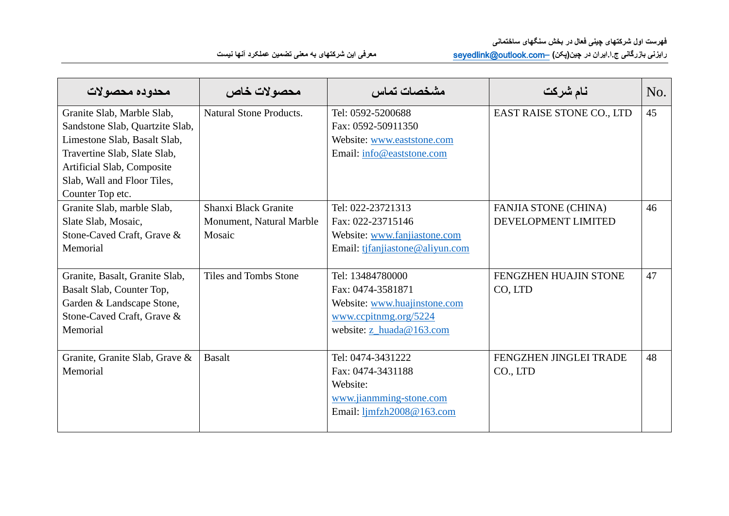| محدوده محصولات                  | محصولات خاص                    | مشخصات تماس                            | نام شركت                    | No. |
|---------------------------------|--------------------------------|----------------------------------------|-----------------------------|-----|
| Granite Slab, Marble Slab,      | <b>Natural Stone Products.</b> | Tel: 0592-5200688                      | EAST RAISE STONE CO., LTD   | 45  |
| Sandstone Slab, Quartzite Slab, |                                | Fax: 0592-50911350                     |                             |     |
| Limestone Slab, Basalt Slab,    |                                | Website: www.eaststone.com             |                             |     |
| Travertine Slab, Slate Slab,    |                                | Email: info@eaststone.com              |                             |     |
| Artificial Slab, Composite      |                                |                                        |                             |     |
| Slab, Wall and Floor Tiles,     |                                |                                        |                             |     |
| Counter Top etc.                |                                |                                        |                             |     |
| Granite Slab, marble Slab,      | Shanxi Black Granite           | Tel: 022-23721313                      | <b>FANJIA STONE (CHINA)</b> | 46  |
| Slate Slab, Mosaic,             | Monument, Natural Marble       | Fax: 022-23715146                      | DEVELOPMENT LIMITED         |     |
| Stone-Caved Craft, Grave &      | Mosaic                         | Website: www.fanjiastone.com           |                             |     |
| Memorial                        |                                | Email: tjfanjiastone@aliyun.com        |                             |     |
|                                 |                                |                                        |                             |     |
| Granite, Basalt, Granite Slab,  | Tiles and Tombs Stone          | Tel: 13484780000                       | FENGZHEN HUAJIN STONE       | 47  |
| Basalt Slab, Counter Top,       |                                | Fax: 0474-3581871                      | CO, LTD                     |     |
| Garden & Landscape Stone,       |                                | Website: www.huajinstone.com           |                             |     |
| Stone-Caved Craft, Grave &      |                                | www.ccpitnmg.org/5224                  |                             |     |
| Memorial                        |                                | website: $\underline{z}$ huada@163.com |                             |     |
|                                 |                                |                                        |                             |     |
| Granite, Granite Slab, Grave &  | <b>Basalt</b>                  | Tel: 0474-3431222                      | FENGZHEN JINGLEI TRADE      | 48  |
| Memorial                        |                                | Fax: 0474-3431188                      | CO., LTD                    |     |
|                                 |                                | Website:                               |                             |     |
|                                 |                                | www.jianmming-stone.com                |                             |     |
|                                 |                                | Email: limfzh2008@163.com              |                             |     |
|                                 |                                |                                        |                             |     |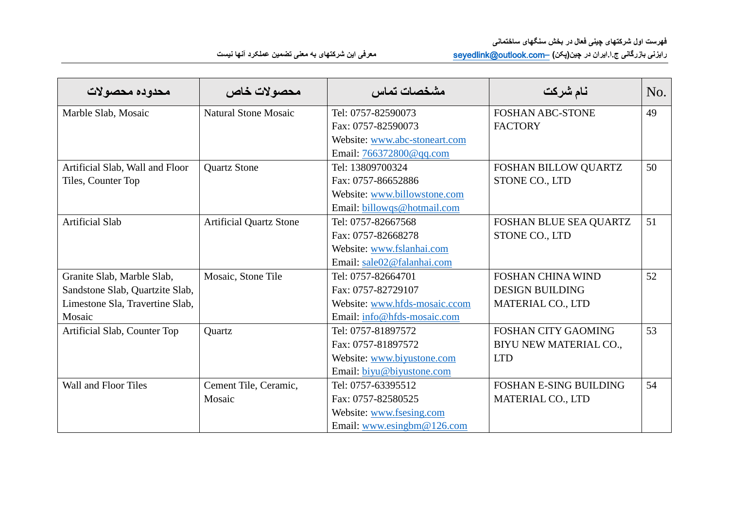| محدوده محصولات                  | محصولات خاص                    | مشخصات تماس                   | نام شركت                      | No. |
|---------------------------------|--------------------------------|-------------------------------|-------------------------------|-----|
| Marble Slab, Mosaic             | Natural Stone Mosaic           | Tel: 0757-82590073            | <b>FOSHAN ABC-STONE</b>       | 49  |
|                                 |                                | Fax: 0757-82590073            | <b>FACTORY</b>                |     |
|                                 |                                | Website: www.abc-stoneart.com |                               |     |
|                                 |                                | Email: 766372800@qq.com       |                               |     |
| Artificial Slab, Wall and Floor | <b>Quartz Stone</b>            | Tel: 13809700324              | FOSHAN BILLOW QUARTZ          | 50  |
| Tiles, Counter Top              |                                | Fax: 0757-86652886            | STONE CO., LTD                |     |
|                                 |                                | Website: www.billowstone.com  |                               |     |
|                                 |                                | Email: billowqs@hotmail.com   |                               |     |
| <b>Artificial Slab</b>          | <b>Artificial Quartz Stone</b> | Tel: 0757-82667568            | FOSHAN BLUE SEA QUARTZ        | 51  |
|                                 |                                | Fax: 0757-82668278            | STONE CO., LTD                |     |
|                                 |                                | Website: www.fslanhai.com     |                               |     |
|                                 |                                | Email: sale02@falanhai.com    |                               |     |
| Granite Slab, Marble Slab,      | Mosaic, Stone Tile             | Tel: 0757-82664701            | <b>FOSHAN CHINA WIND</b>      | 52  |
| Sandstone Slab, Quartzite Slab, |                                | Fax: 0757-82729107            | <b>DESIGN BUILDING</b>        |     |
| Limestone Sla, Travertine Slab, |                                | Website: www.hfds-mosaic.ccom | MATERIAL CO., LTD             |     |
| Mosaic                          |                                | Email: info@hfds-mosaic.com   |                               |     |
| Artificial Slab, Counter Top    | Quartz                         | Tel: 0757-81897572            | <b>FOSHAN CITY GAOMING</b>    | 53  |
|                                 |                                | Fax: 0757-81897572            | BIYU NEW MATERIAL CO.,        |     |
|                                 |                                | Website: www.biyustone.com    | <b>LTD</b>                    |     |
|                                 |                                | Email: biyu@biyustone.com     |                               |     |
| Wall and Floor Tiles            | Cement Tile, Ceramic,          | Tel: 0757-63395512            | <b>FOSHAN E-SING BUILDING</b> | 54  |
|                                 | Mosaic                         | Fax: 0757-82580525            | MATERIAL CO., LTD             |     |
|                                 |                                | Website: www.fsesing.com      |                               |     |
|                                 |                                | Email: www.esingbm@126.com    |                               |     |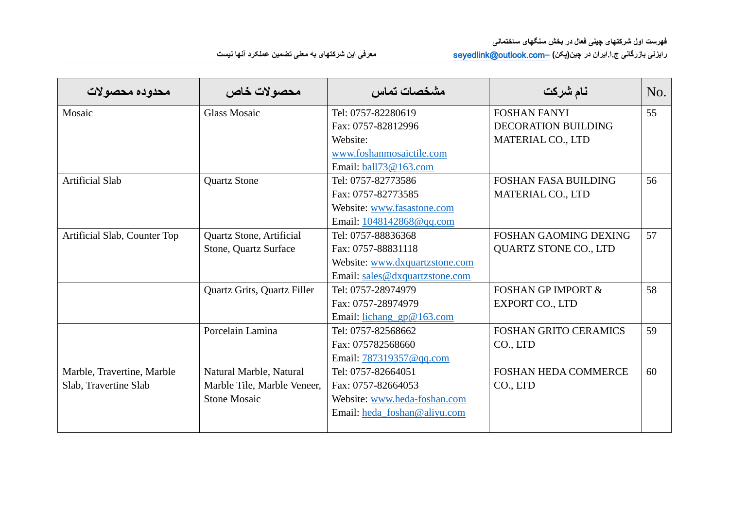| محدوده محصولات               | محصولات خاص                 | مشخصات تماس                    | نام شركت                      | No. |
|------------------------------|-----------------------------|--------------------------------|-------------------------------|-----|
| Mosaic                       | <b>Glass Mosaic</b>         | Tel: 0757-82280619             | <b>FOSHAN FANYI</b>           | 55  |
|                              |                             | Fax: 0757-82812996             | <b>DECORATION BUILDING</b>    |     |
|                              |                             | Website:                       | <b>MATERIAL CO., LTD</b>      |     |
|                              |                             | www.foshanmosaictile.com       |                               |     |
|                              |                             | Email: ball73@163.com          |                               |     |
| <b>Artificial Slab</b>       | <b>Quartz Stone</b>         | Tel: 0757-82773586             | <b>FOSHAN FASA BUILDING</b>   | 56  |
|                              |                             | Fax: 0757-82773585             | MATERIAL CO., LTD             |     |
|                              |                             | Website: www.fasastone.com     |                               |     |
|                              |                             | Email: $1048142868@qq.com$     |                               |     |
| Artificial Slab, Counter Top | Quartz Stone, Artificial    | Tel: 0757-88836368             | <b>FOSHAN GAOMING DEXING</b>  | 57  |
|                              | Stone, Quartz Surface       | Fax: 0757-88831118             | <b>QUARTZ STONE CO., LTD</b>  |     |
|                              |                             | Website: www.dxquartzstone.com |                               |     |
|                              |                             | Email: sales@dxquartzstone.com |                               |     |
|                              | Quartz Grits, Quartz Filler | Tel: 0757-28974979             | <b>FOSHAN GP IMPORT &amp;</b> | 58  |
|                              |                             | Fax: 0757-28974979             | <b>EXPORT CO., LTD</b>        |     |
|                              |                             | Email: lichang_gp@163.com      |                               |     |
|                              | Porcelain Lamina            | Tel: 0757-82568662             | <b>FOSHAN GRITO CERAMICS</b>  | 59  |
|                              |                             | Fax: 075782568660              | CO., LTD                      |     |
|                              |                             | Email: 787319357@qq.com        |                               |     |
| Marble, Travertine, Marble   | Natural Marble, Natural     | Tel: 0757-82664051             | <b>FOSHAN HEDA COMMERCE</b>   | 60  |
| Slab, Travertine Slab        | Marble Tile, Marble Veneer, | Fax: 0757-82664053             | CO., LTD                      |     |
|                              | <b>Stone Mosaic</b>         | Website: www.heda-foshan.com   |                               |     |
|                              |                             | Email: heda_foshan@aliyu.com   |                               |     |
|                              |                             |                                |                               |     |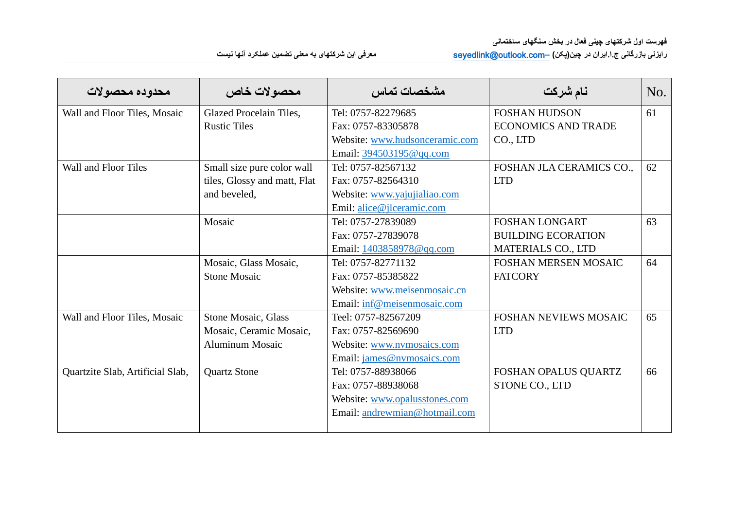| محدوده محصولات                   | محصولات خاص                  | مشخصات تماس                    | نام شركت                     | No. |
|----------------------------------|------------------------------|--------------------------------|------------------------------|-----|
| Wall and Floor Tiles, Mosaic     | Glazed Procelain Tiles,      | Tel: 0757-82279685             | <b>FOSHAN HUDSON</b>         | 61  |
|                                  | <b>Rustic Tiles</b>          | Fax: 0757-83305878             | <b>ECONOMICS AND TRADE</b>   |     |
|                                  |                              | Website: www.hudsonceramic.com | CO., LTD                     |     |
|                                  |                              | Email: 394503195@qq.com        |                              |     |
| Wall and Floor Tiles             | Small size pure color wall   | Tel: 0757-82567132             | FOSHAN JLA CERAMICS CO.,     | 62  |
|                                  | tiles, Glossy and matt, Flat | Fax: 0757-82564310             | <b>LTD</b>                   |     |
|                                  | and beveled,                 | Website: www.yajujialiao.com   |                              |     |
|                                  |                              | Emil: alice@jlceramic.com      |                              |     |
|                                  | Mosaic                       | Tel: 0757-27839089             | <b>FOSHAN LONGART</b>        | 63  |
|                                  |                              | Fax: 0757-27839078             | <b>BUILDING ECORATION</b>    |     |
|                                  |                              | Email: 1403858978@qq.com       | <b>MATERIALS CO., LTD</b>    |     |
|                                  | Mosaic, Glass Mosaic,        | Tel: 0757-82771132             | <b>FOSHAN MERSEN MOSAIC</b>  | 64  |
|                                  | <b>Stone Mosaic</b>          | Fax: 0757-85385822             | <b>FATCORY</b>               |     |
|                                  |                              | Website: www.meisenmosaic.cn   |                              |     |
|                                  |                              | Email: inf@meisenmosaic.com    |                              |     |
| Wall and Floor Tiles, Mosaic     | Stone Mosaic, Glass          | Teel: 0757-82567209            | <b>FOSHAN NEVIEWS MOSAIC</b> | 65  |
|                                  | Mosaic, Ceramic Mosaic,      | Fax: 0757-82569690             | <b>LTD</b>                   |     |
|                                  | <b>Aluminum Mosaic</b>       | Website: www.nvmosaics.com     |                              |     |
|                                  |                              | Email: james@nvmosaics.com     |                              |     |
| Quartzite Slab, Artificial Slab, | <b>Quartz Stone</b>          | Tel: 0757-88938066             | FOSHAN OPALUS QUARTZ         | 66  |
|                                  |                              | Fax: 0757-88938068             | STONE CO., LTD               |     |
|                                  |                              | Website: www.opalusstones.com  |                              |     |
|                                  |                              | Email: andrewmian@hotmail.com  |                              |     |
|                                  |                              |                                |                              |     |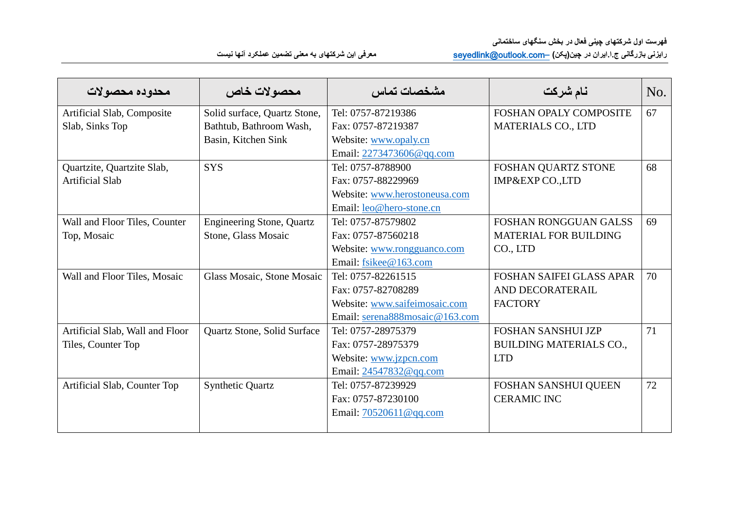| محدوده محصولات                  | محصولات خاص                      | مشخصات تماس                    | نام شركت                        | No. |
|---------------------------------|----------------------------------|--------------------------------|---------------------------------|-----|
| Artificial Slab, Composite      | Solid surface, Quartz Stone,     | Tel: 0757-87219386             | FOSHAN OPALY COMPOSITE          | 67  |
| Slab, Sinks Top                 | Bathtub, Bathroom Wash,          | Fax: 0757-87219387             | <b>MATERIALS CO., LTD</b>       |     |
|                                 | Basin, Kitchen Sink              | Website: www.opaly.cn          |                                 |     |
|                                 |                                  | Email: 2273473606@qq.com       |                                 |     |
| Quartzite, Quartzite Slab,      | <b>SYS</b>                       | Tel: 0757-8788900              | FOSHAN QUARTZ STONE             | 68  |
| <b>Artificial Slab</b>          |                                  | Fax: 0757-88229969             | IMP&EXP CO.,LTD                 |     |
|                                 |                                  | Website: www.herostoneusa.com  |                                 |     |
|                                 |                                  | Email: leo@hero-stone.cn       |                                 |     |
| Wall and Floor Tiles, Counter   | <b>Engineering Stone, Quartz</b> | Tel: 0757-87579802             | <b>FOSHAN RONGGUAN GALSS</b>    | 69  |
| Top, Mosaic                     | Stone, Glass Mosaic              | Fax: 0757-87560218             | MATERIAL FOR BUILDING           |     |
|                                 |                                  | Website: www.rongguanco.com    | CO., LTD                        |     |
|                                 |                                  | Email: fsikee@163.com          |                                 |     |
| Wall and Floor Tiles, Mosaic    | Glass Mosaic, Stone Mosaic       | Tel: 0757-82261515             | <b>FOSHAN SAIFEI GLASS APAR</b> | 70  |
|                                 |                                  | Fax: 0757-82708289             | AND DECORATERAIL                |     |
|                                 |                                  | Website: www.saifeimosaic.com  | <b>FACTORY</b>                  |     |
|                                 |                                  | Email: serena888mosaic@163.com |                                 |     |
| Artificial Slab, Wall and Floor | Quartz Stone, Solid Surface      | Tel: 0757-28975379             | <b>FOSHAN SANSHUI JZP</b>       | 71  |
| Tiles, Counter Top              |                                  | Fax: 0757-28975379             | <b>BUILDING MATERIALS CO.,</b>  |     |
|                                 |                                  | Website: www.jzpcn.com         | <b>LTD</b>                      |     |
|                                 |                                  | Email: 24547832@qq.com         |                                 |     |
| Artificial Slab, Counter Top    | <b>Synthetic Quartz</b>          | Tel: 0757-87239929             | FOSHAN SANSHUI QUEEN            | 72  |
|                                 |                                  | Fax: 0757-87230100             | <b>CERAMIC INC</b>              |     |
|                                 |                                  | Email: $70520611@qq.com$       |                                 |     |
|                                 |                                  |                                |                                 |     |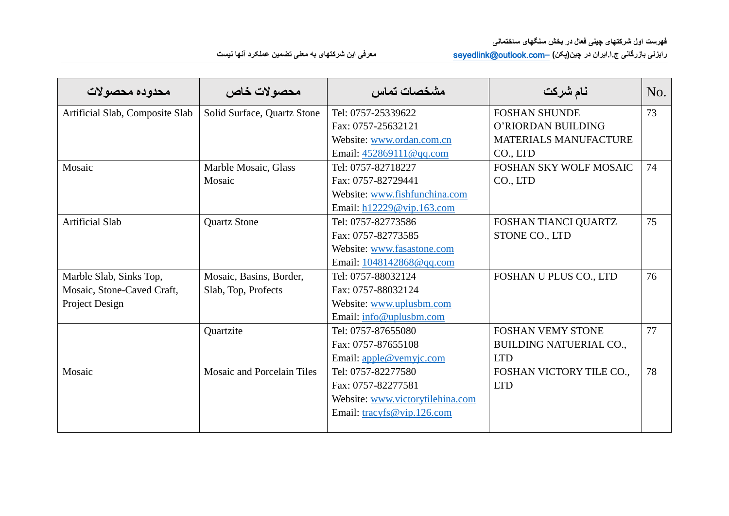| محدوده محصولات                  | محصولات خاص                 | مشخصات تماس                      | نام شركت                       | No. |
|---------------------------------|-----------------------------|----------------------------------|--------------------------------|-----|
| Artificial Slab, Composite Slab | Solid Surface, Quartz Stone | Tel: 0757-25339622               | <b>FOSHAN SHUNDE</b>           | 73  |
|                                 |                             | Fax: 0757-25632121               | O'RIORDAN BUILDING             |     |
|                                 |                             | Website: www.ordan.com.cn        | <b>MATERIALS MANUFACTURE</b>   |     |
|                                 |                             | Email: $452869111@qq.com$        | CO., LTD                       |     |
| Mosaic                          | Marble Mosaic, Glass        | Tel: 0757-82718227               | FOSHAN SKY WOLF MOSAIC         | 74  |
|                                 | Mosaic                      | Fax: 0757-82729441               | CO., LTD                       |     |
|                                 |                             | Website: www.fishfunchina.com    |                                |     |
|                                 |                             | Email: h12229@vip.163.com        |                                |     |
| <b>Artificial Slab</b>          | <b>Quartz Stone</b>         | Tel: 0757-82773586               | FOSHAN TIANCI QUARTZ           | 75  |
|                                 |                             | Fax: 0757-82773585               | STONE CO., LTD                 |     |
|                                 |                             | Website: www.fasastone.com       |                                |     |
|                                 |                             | Email: 1048142868@qq.com         |                                |     |
| Marble Slab, Sinks Top,         | Mosaic, Basins, Border,     | Tel: 0757-88032124               | FOSHAN U PLUS CO., LTD         | 76  |
| Mosaic, Stone-Caved Craft,      | Slab, Top, Profects         | Fax: 0757-88032124               |                                |     |
| Project Design                  |                             | Website: www.uplusbm.com         |                                |     |
|                                 |                             | Email: info@uplusbm.com          |                                |     |
|                                 | Quartzite                   | Tel: 0757-87655080               | <b>FOSHAN VEMY STONE</b>       | 77  |
|                                 |                             | Fax: 0757-87655108               | <b>BUILDING NATUERIAL CO.,</b> |     |
|                                 |                             | Email: apple@vemyjc.com          | <b>LTD</b>                     |     |
| Mosaic                          | Mosaic and Porcelain Tiles  | Tel: 0757-82277580               | FOSHAN VICTORY TILE CO.,       | 78  |
|                                 |                             | Fax: 0757-82277581               | <b>LTD</b>                     |     |
|                                 |                             | Website: www.victorytilehina.com |                                |     |
|                                 |                             | Email: $tracyfs@vip.126.com$     |                                |     |
|                                 |                             |                                  |                                |     |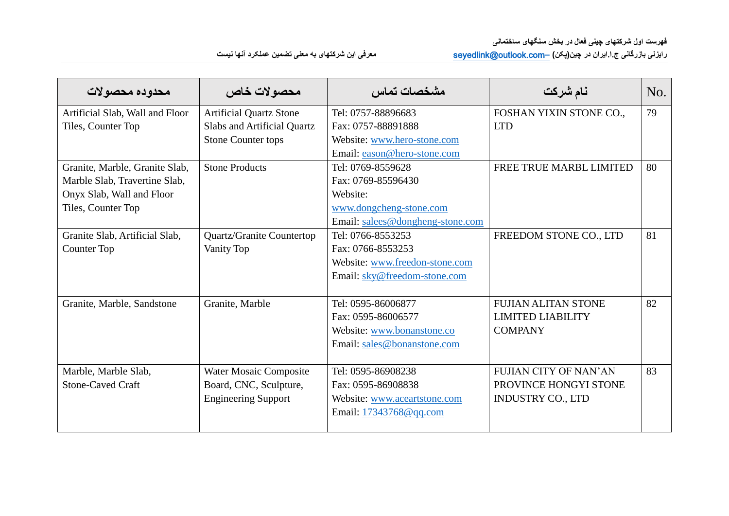| محدوده محصولات                  | محصولات خاص                    | مشخصات تماس                      | نام شركت                     | No. |
|---------------------------------|--------------------------------|----------------------------------|------------------------------|-----|
| Artificial Slab, Wall and Floor | <b>Artificial Quartz Stone</b> | Tel: 0757-88896683               | FOSHAN YIXIN STONE CO.,      | 79  |
| Tiles, Counter Top              | Slabs and Artificial Quartz    | Fax: 0757-88891888               | <b>LTD</b>                   |     |
|                                 | <b>Stone Counter tops</b>      | Website: www.hero-stone.com      |                              |     |
|                                 |                                | Email: eason@hero-stone.com      |                              |     |
| Granite, Marble, Granite Slab,  | <b>Stone Products</b>          | Tel: 0769-8559628                | FREE TRUE MARBL LIMITED      | 80  |
| Marble Slab, Travertine Slab,   |                                | Fax: 0769-85596430               |                              |     |
| Onyx Slab, Wall and Floor       |                                | Website:                         |                              |     |
| Tiles, Counter Top              |                                | www.dongcheng-stone.com          |                              |     |
|                                 |                                | Email: salees@dongheng-stone.com |                              |     |
| Granite Slab, Artificial Slab,  | Quartz/Granite Countertop      | Tel: 0766-8553253                | FREEDOM STONE CO., LTD       | 81  |
| Counter Top                     | Vanity Top                     | Fax: 0766-8553253                |                              |     |
|                                 |                                | Website: www.freedon-stone.com   |                              |     |
|                                 |                                | Email: sky@freedom-stone.com     |                              |     |
| Granite, Marble, Sandstone      | Granite, Marble                | Tel: 0595-86006877               | <b>FUJIAN ALITAN STONE</b>   | 82  |
|                                 |                                | Fax: 0595-86006577               | <b>LIMITED LIABILITY</b>     |     |
|                                 |                                | Website: www.bonanstone.co       | <b>COMPANY</b>               |     |
|                                 |                                | Email: sales@bonanstone.com      |                              |     |
| Marble, Marble Slab,            | <b>Water Mosaic Composite</b>  | Tel: 0595-86908238               | <b>FUJIAN CITY OF NAN'AN</b> | 83  |
| <b>Stone-Caved Craft</b>        | Board, CNC, Sculpture,         | Fax: 0595-86908838               | PROVINCE HONGYI STONE        |     |
|                                 | <b>Engineering Support</b>     | Website: www.aceartstone.com     | <b>INDUSTRY CO., LTD</b>     |     |
|                                 |                                | Email: 17343768@qq.com           |                              |     |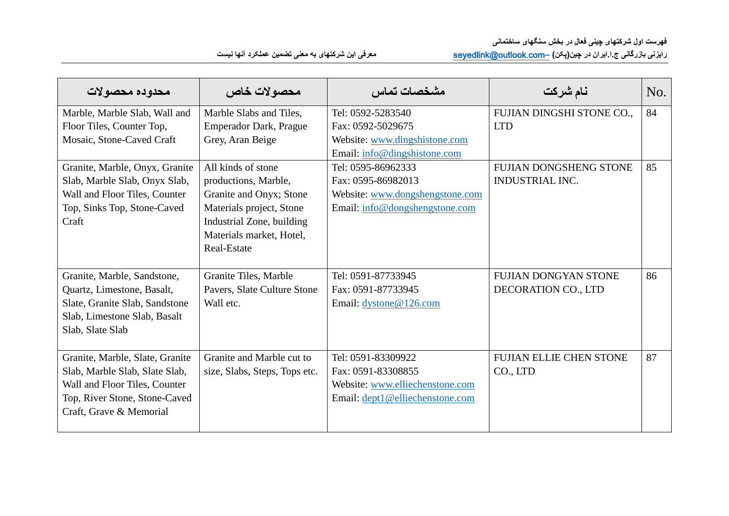**رایزنی بازرگانی ج.ا.ایران در چین)پکن( –**[com.outlook@seyedlink](mailto:–seyedlink@outlook.com) **معرفی این شرکتهای به معنی تضمین عملکرد آنها نیست**

| محدوده محصولات                  | محصولات خاص                   | مشخصات تماس                     | نام شركت                      | No. |
|---------------------------------|-------------------------------|---------------------------------|-------------------------------|-----|
| Marble, Marble Slab, Wall and   | Marble Slabs and Tiles,       | Tel: 0592-5283540               | FUJIAN DINGSHI STONE CO.,     | 84  |
| Floor Tiles, Counter Top,       | <b>Emperador Dark, Prague</b> | Fax: 0592-5029675               | <b>LTD</b>                    |     |
| Mosaic, Stone-Caved Craft       | Grey, Aran Beige              | Website: www.dingshistone.com   |                               |     |
|                                 |                               | Email: info@dingshistone.com    |                               |     |
| Granite, Marble, Onyx, Granite  | All kinds of stone            | Tel: 0595-86962333              | <b>FUJIAN DONGSHENG STONE</b> | 85  |
| Slab, Marble Slab, Onyx Slab,   | productions, Marble,          | Fax: 0595-86982013              | <b>INDUSTRIAL INC.</b>        |     |
| Wall and Floor Tiles, Counter   | Granite and Onyx; Stone       | Website: www.dongshengstone.com |                               |     |
| Top, Sinks Top, Stone-Caved     | Materials project, Stone      | Email: info@dongshengstone.com  |                               |     |
| Craft                           | Industrial Zone, building     |                                 |                               |     |
|                                 | Materials market, Hotel,      |                                 |                               |     |
|                                 | Real-Estate                   |                                 |                               |     |
|                                 |                               |                                 |                               |     |
| Granite, Marble, Sandstone,     | Granite Tiles, Marble         | Tel: 0591-87733945              | <b>FUJIAN DONGYAN STONE</b>   | 86  |
| Quartz, Limestone, Basalt,      | Pavers, Slate Culture Stone   | Fax: 0591-87733945              | DECORATION CO., LTD           |     |
| Slate, Granite Slab, Sandstone  | Wall etc.                     | Email: dystone@126.com          |                               |     |
| Slab, Limestone Slab, Basalt    |                               |                                 |                               |     |
| Slab, Slate Slab                |                               |                                 |                               |     |
|                                 |                               |                                 |                               |     |
| Granite, Marble, Slate, Granite | Granite and Marble cut to     | Tel: 0591-83309922              | FUJIAN ELLIE CHEN STONE       | 87  |
| Slab, Marble Slab, Slate Slab,  | size, Slabs, Steps, Tops etc. | Fax: 0591-83308855              | CO., LTD                      |     |
| Wall and Floor Tiles, Counter   |                               | Website: www.elliechenstone.com |                               |     |
| Top, River Stone, Stone-Caved   |                               | Email: dept1@elliechenstone.com |                               |     |
| Craft, Grave & Memorial         |                               |                                 |                               |     |
|                                 |                               |                                 |                               |     |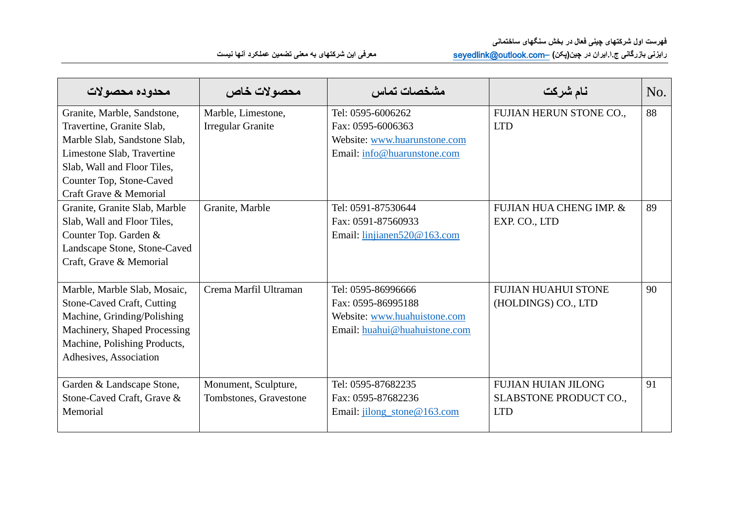| محدوده محصولات                                                                                                                                                                                              | محصولات خاص                                    | مشخصات تماس                                                                                               | نام شركت                                                                  | No. |
|-------------------------------------------------------------------------------------------------------------------------------------------------------------------------------------------------------------|------------------------------------------------|-----------------------------------------------------------------------------------------------------------|---------------------------------------------------------------------------|-----|
| Granite, Marble, Sandstone,<br>Travertine, Granite Slab,<br>Marble Slab, Sandstone Slab,<br>Limestone Slab, Travertine<br>Slab, Wall and Floor Tiles,<br>Counter Top, Stone-Caved<br>Craft Grave & Memorial | Marble, Limestone,<br><b>Irregular Granite</b> | Tel: 0595-6006262<br>Fax: 0595-6006363<br>Website: www.huarunstone.com<br>Email: info@huarunstone.com     | FUJIAN HERUN STONE CO.,<br><b>LTD</b>                                     | 88  |
| Granite, Granite Slab, Marble<br>Slab, Wall and Floor Tiles,<br>Counter Top. Garden &<br>Landscape Stone, Stone-Caved<br>Craft, Grave & Memorial                                                            | Granite, Marble                                | Tel: 0591-87530644<br>Fax: 0591-87560933<br>Email: linjianen520@163.com                                   | <b>FUJIAN HUA CHENG IMP. &amp;</b><br>EXP. CO., LTD                       | 89  |
| Marble, Marble Slab, Mosaic,<br><b>Stone-Caved Craft, Cutting</b><br>Machine, Grinding/Polishing<br>Machinery, Shaped Processing<br>Machine, Polishing Products,<br>Adhesives, Association                  | Crema Marfil Ultraman                          | Tel: 0595-86996666<br>Fax: 0595-86995188<br>Website: www.huahuistone.com<br>Email: huahui@huahuistone.com | <b>FUJIAN HUAHUI STONE</b><br>(HOLDINGS) CO., LTD                         | 90  |
| Garden & Landscape Stone,<br>Stone-Caved Craft, Grave &<br>Memorial                                                                                                                                         | Monument, Sculpture,<br>Tombstones, Gravestone | Tel: 0595-87682235<br>Fax: 0595-87682236<br>Email: jilong_stone@163.com                                   | <b>FUJIAN HUIAN JILONG</b><br><b>SLABSTONE PRODUCT CO.,</b><br><b>LTD</b> | 91  |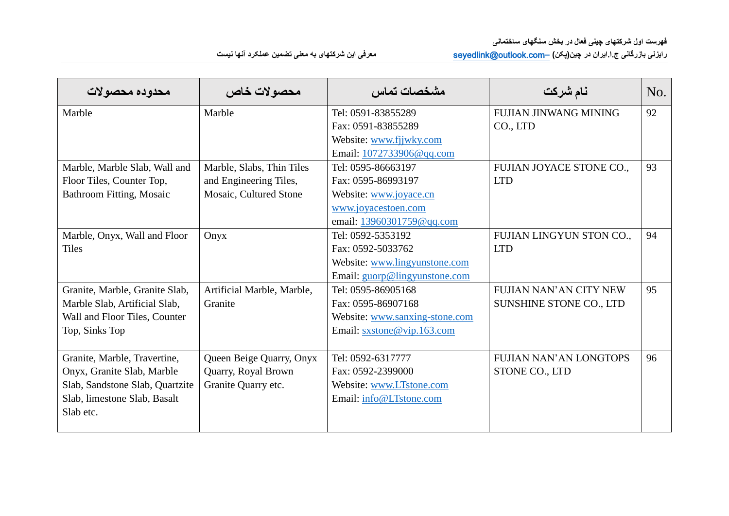| رایزنی بازرگانی ج ۱.ایران در چین(پکن) _seyedlink@outlook.com<br>معرفی این شرکتهای به معنی تضمین عملکرد آنها نیست |  |  |  |  |
|------------------------------------------------------------------------------------------------------------------|--|--|--|--|
|------------------------------------------------------------------------------------------------------------------|--|--|--|--|

| محدوده محصولات                  | محصولات خاص                | مشخصات تماس                    | نام شركت                       | No. |
|---------------------------------|----------------------------|--------------------------------|--------------------------------|-----|
| Marble                          | Marble                     | Tel: 0591-83855289             | FUJIAN JINWANG MINING          | 92  |
|                                 |                            | Fax: 0591-83855289             | CO., LTD                       |     |
|                                 |                            | Website: www.fjjwky.com        |                                |     |
|                                 |                            | Email: 1072733906@qq.com       |                                |     |
| Marble, Marble Slab, Wall and   | Marble, Slabs, Thin Tiles  | Tel: 0595-86663197             | FUJIAN JOYACE STONE CO.,       | 93  |
| Floor Tiles, Counter Top,       | and Engineering Tiles,     | Fax: 0595-86993197             | <b>LTD</b>                     |     |
| <b>Bathroom Fitting, Mosaic</b> | Mosaic, Cultured Stone     | Website: www.joyace.cn         |                                |     |
|                                 |                            | www.joyacestoen.com            |                                |     |
|                                 |                            | email: 13960301759@qq.com      |                                |     |
| Marble, Onyx, Wall and Floor    | Onyx                       | Tel: 0592-5353192              | FUJIAN LINGYUN STON CO.,       | 94  |
| <b>Tiles</b>                    |                            | Fax: 0592-5033762              | <b>LTD</b>                     |     |
|                                 |                            | Website: www.lingyunstone.com  |                                |     |
|                                 |                            | Email: guorp@lingyunstone.com  |                                |     |
| Granite, Marble, Granite Slab,  | Artificial Marble, Marble, | Tel: 0595-86905168             | <b>FUJIAN NAN'AN CITY NEW</b>  | 95  |
| Marble Slab, Artificial Slab,   | Granite                    | Fax: 0595-86907168             | <b>SUNSHINE STONE CO., LTD</b> |     |
| Wall and Floor Tiles, Counter   |                            | Website: www.sanxing-stone.com |                                |     |
| Top, Sinks Top                  |                            | Email: sxstone@vip.163.com     |                                |     |
|                                 |                            |                                |                                |     |
| Granite, Marble, Travertine,    | Queen Beige Quarry, Onyx   | Tel: 0592-6317777              | <b>FUJIAN NAN'AN LONGTOPS</b>  | 96  |
| Onyx, Granite Slab, Marble      | Quarry, Royal Brown        | Fax: 0592-2399000              | STONE CO., LTD                 |     |
| Slab, Sandstone Slab, Quartzite | Granite Quarry etc.        | Website: www.LTstone.com       |                                |     |
| Slab, limestone Slab, Basalt    |                            | Email: info@LTstone.com        |                                |     |
| Slab etc.                       |                            |                                |                                |     |
|                                 |                            |                                |                                |     |